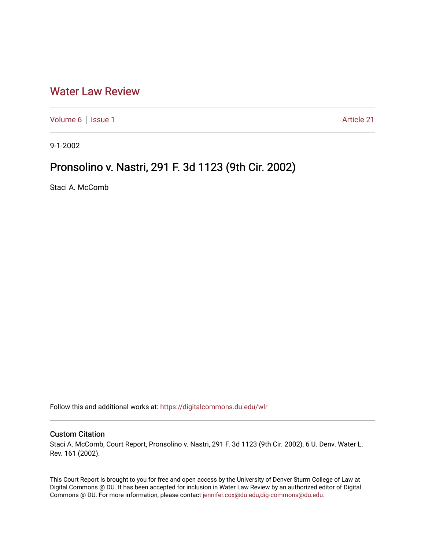## [Water Law Review](https://digitalcommons.du.edu/wlr)

[Volume 6](https://digitalcommons.du.edu/wlr/vol6) | [Issue 1](https://digitalcommons.du.edu/wlr/vol6/iss1) Article 21

9-1-2002

## Pronsolino v. Nastri, 291 F. 3d 1123 (9th Cir. 2002)

Staci A. McComb

Follow this and additional works at: [https://digitalcommons.du.edu/wlr](https://digitalcommons.du.edu/wlr?utm_source=digitalcommons.du.edu%2Fwlr%2Fvol6%2Fiss1%2F21&utm_medium=PDF&utm_campaign=PDFCoverPages) 

## Custom Citation

Staci A. McComb, Court Report, Pronsolino v. Nastri, 291 F. 3d 1123 (9th Cir. 2002), 6 U. Denv. Water L. Rev. 161 (2002).

This Court Report is brought to you for free and open access by the University of Denver Sturm College of Law at Digital Commons @ DU. It has been accepted for inclusion in Water Law Review by an authorized editor of Digital Commons @ DU. For more information, please contact [jennifer.cox@du.edu,dig-commons@du.edu.](mailto:jennifer.cox@du.edu,dig-commons@du.edu)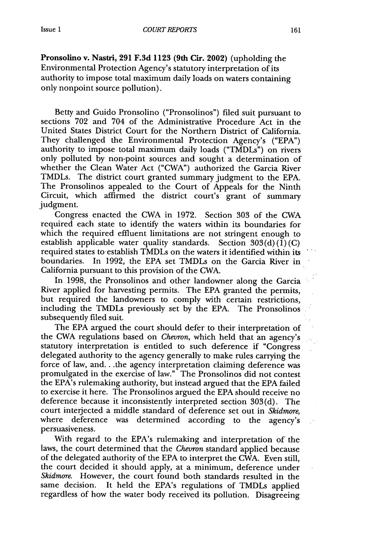**Pronsolino** v. Nastri, **291 F.3d 1123 (9th Cir. 2002)** (upholding the Environmental Protection Agency's statutory interpretation of its authority to impose total maximum daily loads on waters containing only nonpoint source pollution).

Betty and Guido Pronsolino ("Pronsolinos") filed suit pursuant to sections **702** and 704 of the Administrative Procedure Act in the United States District Court for the Northern District of California. They challenged the Environmental Protection Agency's ("EPA") authority to impose total maximum daily loads ("TMDLs") on rivers only polluted by non-point sources and sought a determination of whether the Clean Water Act ("CWA") authorized the Garcia River TMDLs. The district court granted summary judgment to the EPA. The Pronsolinos appealed to the Court of Appeals for the Ninth Circuit, which affirmed the district court's grant of summary judgment.

Congress enacted the CWA in 1972. Section 303 of the CWA required each state to identify the waters within its boundaries for which the required effluent limitations are not stringent enough to establish applicable water quality standards. Section  $303(d)(1)(C)$ required states to-establish TMDLs on the waters it identified within its boundaries. In 1992, the EPA set TMDLs on the Garcia River in California pursuant to this provision of the CWA.

In 1998, the Pronsolinos and other landowner along the Garcia River applied for harvesting permits. The EPA granted the permits, but required the landowners to comply with certain restrictions, including the TMDLs previously set by the EPA. The Pronsolinos subsequently filed suit.

The EPA argued the court should defer to their interpretation of the CWA regulations based on *Chevron,* which held that an agency's statutory interpretation is entitled to such deference if "Congress delegated authority to the agency generally to make rules carrying the force of law, and... the agency interpretation claiming deference was promulgated in the exercise of law." The Pronsolinos did not contest the EPA's rulemaking authority, but instead argued that the EPA failed to exercise it here. The Pronsolinos argued the EPA should receive no deference because it inconsistently interpreted section 303(d). The court interjected a middle standard of deference set out in *Skidmore,* where deference was determined according to the agency's persuasiveness.

With regard to the EPA's rulemaking and interpretation of the laws, the court determined that the *Chevron* standard applied because of the delegated authority of the EPA to interpret the CWA. Even still, the court decided it should apply, at a minimum, deference under *Skidmore.* However, the court found both standards resulted in the same decision. It held the EPA's regulations of TMDLs applied regardless of how the water body received its pollution. Disagreeing